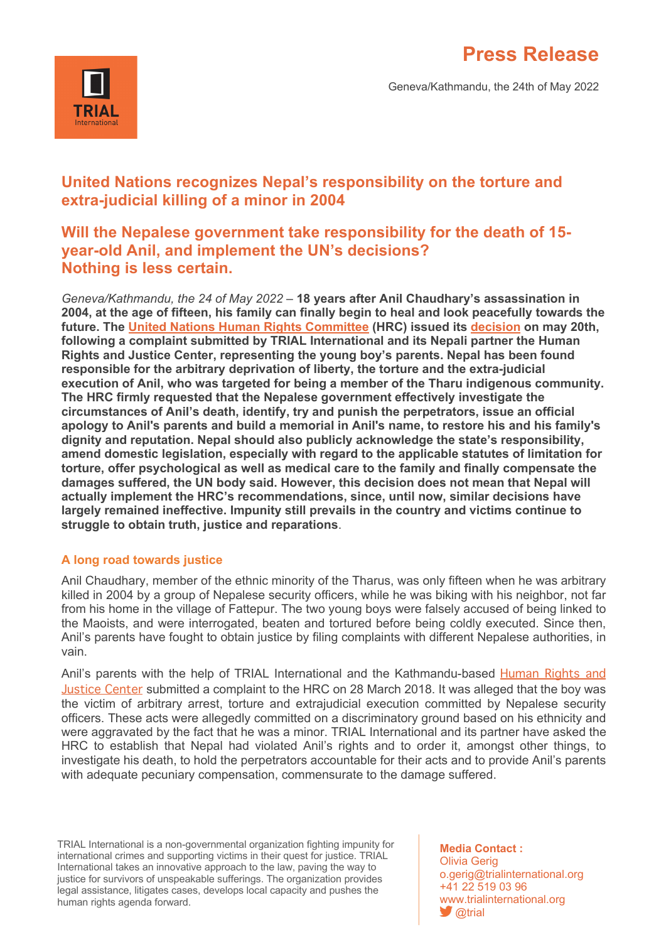



# **United Nations recognizes Nepal's responsibility on the torture and extra-judicial killing of a minor in 2004**

# **Will the Nepalese government take responsibility for the death of 15 year-old Anil, and implement the UN's decisions? Nothing is less certain.**

*Geneva/Kathmandu, the 24 of May 2022* – **18 years after Anil Chaudhary's assassination in 2004, at the age of fifteen, his family can finally begin to heal and look peacefully towards the future. The United Nations Human Rights Committee (HRC) issued its decision on may 20th, following a complaint submitted by TRIAL International and its Nepali partner the Human Rights and Justice Center, representing the young boy's parents. Nepal has been found responsible for the arbitrary deprivation of liberty, the torture and the extra-judicial execution of Anil, who was targeted for being a member of the Tharu indigenous community. The HRC firmly requested that the Nepalese government effectively investigate the circumstances of Anil's death, identify, try and punish the perpetrators, issue an official apology to Anil's parents and build a memorial in Anil's name, to restore his and his family's dignity and reputation. Nepal should also publicly acknowledge the state's responsibility, amend domestic legislation, especially with regard to the applicable statutes of limitation for torture, offer psychological as well as medical care to the family and finally compensate the damages suffered, the UN body said. However, this decision does not mean that Nepal will actually implement the HRC's recommendations, since, until now, similar decisions have largely remained ineffective. Impunity still prevails in the country and victims continue to struggle to obtain truth, justice and reparations**.

## **A long road towards justice**

Anil Chaudhary, member of the ethnic minority of the Tharus, was only fifteen when he was arbitrary killed in 2004 by a group of Nepalese security officers, while he was biking with his neighbor, not far from his home in the village of Fattepur. The two young boys were falsely accused of being linked to the Maoists, and were interrogated, beaten and tortured before being coldly executed. Since then, Anil's parents have fought to obtain justice by filing complaints with different Nepalese authorities, in vain.

Anil's parents with the help of TRIAL International and the Kathmandu-based Human Rights and Justice Center submitted a complaint to the HRC on 28 March 2018. It was alleged that the boy was the victim of arbitrary arrest, torture and extrajudicial execution committed by Nepalese security officers. These acts were allegedly committed on a discriminatory ground based on his ethnicity and were aggravated by the fact that he was a minor. TRIAL International and its partner have asked the HRC to establish that Nepal had violated Anil's rights and to order it, amongst other things, to investigate his death, to hold the perpetrators accountable for their acts and to provide Anil's parents with adequate pecuniary compensation, commensurate to the damage suffered.

TRIAL International is a non-governmental organization fighting impunity for international crimes and supporting victims in their quest for justice. TRIAL International takes an innovative approach to the law, paving the way to justice for survivors of unspeakable sufferings. The organization provides legal assistance, litigates cases, develops local capacity and pushes the human rights agenda forward.

**Media Contact :** Olivia Gerig o.gerig@trialinternational.org +41 22 519 03 96 www.trialinternational.org *<u>Otrial</u>*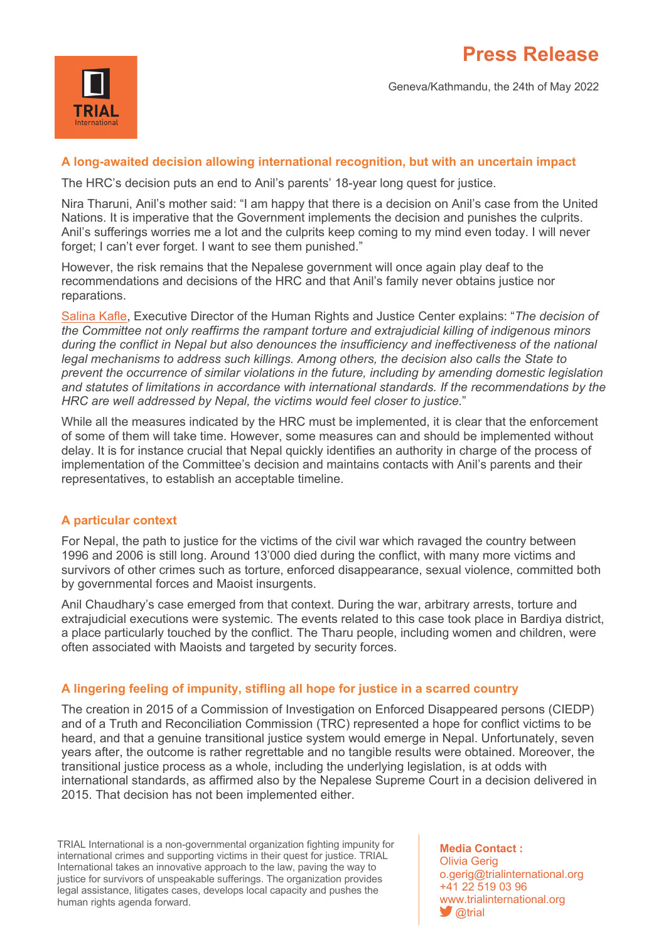

Geneva/Kathmandu, the 24th of May 2022

### **A long-awaited decision allowing international recognition, but with an uncertain impact**

The HRC's decision puts an end to Anil's parents' 18-year long quest for justice.

Nira Tharuni, Anil's mother said: "I am happy that there is a decision on Anil's case from the United Nations. It is imperative that the Government implements the decision and punishes the culprits. Anil's sufferings worries me a lot and the culprits keep coming to my mind even today. I will never forget; I can't ever forget. I want to see them punished."

However, the risk remains that the Nepalese government will once again play deaf to the recommendations and decisions of the HRC and that Anil's family never obtains justice nor reparations.

Salina Kafle, Executive Director of the Human Rights and Justice Center explains: "*The decision of the Committee not only reaffirms the rampant torture and extrajudicial killing of indigenous minors during the conflict in Nepal but also denounces the insufficiency and ineffectiveness of the national legal mechanisms to address such killings. Among others, the decision also calls the State to prevent the occurrence of similar violations in the future, including by amending domestic legislation and statutes of limitations in accordance with international standards. If the recommendations by the HRC are well addressed by Nepal, the victims would feel closer to justice.*"

While all the measures indicated by the HRC must be implemented, it is clear that the enforcement of some of them will take time. However, some measures can and should be implemented without delay. It is for instance crucial that Nepal quickly identifies an authority in charge of the process of implementation of the Committee's decision and maintains contacts with Anil's parents and their representatives, to establish an acceptable timeline.

#### **A particular context**

For Nepal, the path to justice for the victims of the civil war which ravaged the country between 1996 and 2006 is still long. Around 13'000 died during the conflict, with many more victims and survivors of other crimes such as torture, enforced disappearance, sexual violence, committed both by governmental forces and Maoist insurgents.

Anil Chaudhary's case emerged from that context. During the war, arbitrary arrests, torture and extrajudicial executions were systemic. The events related to this case took place in Bardiya district, a place particularly touched by the conflict. The Tharu people, including women and children, were often associated with Maoists and targeted by security forces.

#### **A lingering feeling of impunity, stifling all hope for justice in a scarred country**

The creation in 2015 of a Commission of Investigation on Enforced Disappeared persons (CIEDP) and of a Truth and Reconciliation Commission (TRC) represented a hope for conflict victims to be heard, and that a genuine transitional justice system would emerge in Nepal. Unfortunately, seven years after, the outcome is rather regrettable and no tangible results were obtained. Moreover, the transitional justice process as a whole, including the underlying legislation, is at odds with international standards, as affirmed also by the Nepalese Supreme Court in a decision delivered in 2015. That decision has not been implemented either.

TRIAL International is a non-governmental organization fighting impunity for international crimes and supporting victims in their quest for justice. TRIAL International takes an innovative approach to the law, paving the way to justice for survivors of unspeakable sufferings. The organization provides legal assistance, litigates cases, develops local capacity and pushes the human rights agenda forward.

**Media Contact :** Olivia Gerig o.gerig@trialinternational.org +41 22 519 03 96 www.trialinternational.org *<u>Otrial</u>*